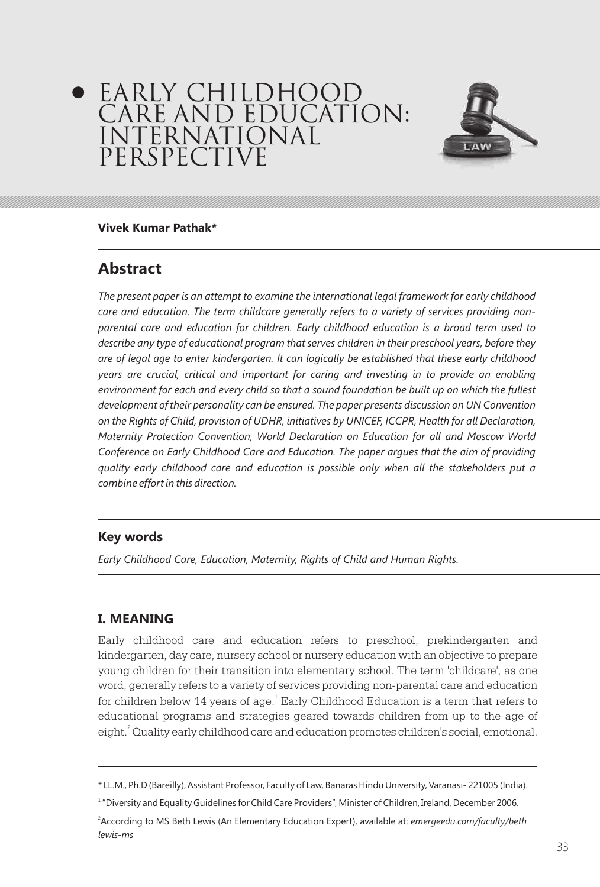# EARLY CHILDHOOD CARE AND EDUCATION: INTERNATIONAL PERSPECTIVE



#### **Vivek Kumar Pathak\***

## **Abstract**

*The present paper is an attempt to examine the international legal framework for early childhood care and education. The term childcare generally refers to a variety of services providing nonparental care and education for children. Early childhood education is a broad term used to describe any type of educational program that serves children in their preschool years, before they are of legal age to enter kindergarten. It can logically be established that these early childhood years are crucial, critical and important for caring and investing in to provide an enabling environment for each and every child so that a sound foundation be built up on which the fullest*  development of their personality can be ensured. The paper presents discussion on UN Convention *on the Rights of Child, provision of UDHR, initiatives by UNICEF, ICCPR, Health for all Declaration, Maternity Protection Convention, World Declaration on Education for all and Moscow World Conference on Early Childhood Care and Education. The paper argues that the aim of providing quality early childhood care and education is possible only when all the stakeholders put a combine effort in this direction.*

#### **Key words**

*Early Childhood Care, Education, Maternity, Rights of Child and Human Rights.*

### **I. MEANING**

Early childhood care and education refers to preschool, prekindergarten and kindergarten, day care, nursery school or nursery education with an objective to prepare young children for their transition into elementary school. The term 'childcare', as one word, generally refers to a variety of services providing non-parental care and education for children below 14 years of age. $^{\rm t}$  Early Childhood Education is a term that refers to educational programs and strategies geared towards children from up to the age of eight. $^{2}$  Quality early childhood care and education promotes children's social, emotional,

<sup>\*</sup> LL.M., Ph.D (Bareilly), Assistant Professor, Faculty of Law, Banaras Hindu University, Varanasi- 221005 (India).

<sup>1</sup> "Diversity and Equality Guidelines for Child Care Providers", Minister of Children, Ireland, December 2006.

<sup>2</sup> According to MS Beth Lewis (An Elementary Education Expert), available at: *emergeedu.com/faculty/beth lewis-ms*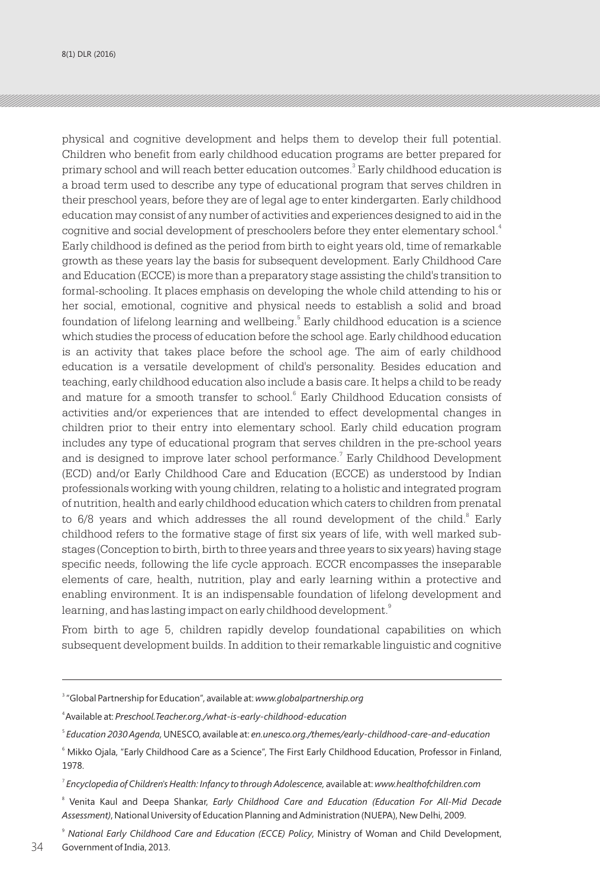physical and cognitive development and helps them to develop their full potential. Children who benefit from early childhood education programs are better prepared for primary school and will reach better education outcomes. $^{\textrm{\tiny{3}}}$  Early childhood education is a broad term used to describe any type of educational program that serves children in their preschool years, before they are of legal age to enter kindergarten. Early childhood education may consist of any number of activities and experiences designed to aid in the cognitive and social development of preschoolers before they enter elementary school. $^{\textrm{\tiny{A}}}$ Early childhood is defined as the period from birth to eight years old, time of remarkable growth as these years lay the basis for subsequent development. Early Childhood Care and Education (ECCE) is more than a preparatory stage assisting the child's transition to formal-schooling. It places emphasis on developing the whole child attending to his or her social, emotional, cognitive and physical needs to establish a solid and broad foundation of lifelong learning and wellbeing.<sup>5</sup> Early childhood education is a science which studies the process of education before the school age. Early childhood education is an activity that takes place before the school age. The aim of early childhood education is a versatile development of child's personality. Besides education and teaching, early childhood education also include a basis care. It helps a child to be ready and mature for a smooth transfer to school.<sup>6</sup> Early Childhood Education consists of activities and/or experiences that are intended to effect developmental changes in children prior to their entry into elementary school. Early child education program includes any type of educational program that serves children in the pre-school years and is designed to improve later school performance.<sup>7</sup> Early Childhood Development (ECD) and/or Early Childhood Care and Education (ECCE) as understood by Indian professionals working with young children, relating to a holistic and integrated program of nutrition, health and early childhood education which caters to children from prenatal to 6/8 years and which addresses the all round development of the child.<sup>8</sup> Early childhood refers to the formative stage of first six years of life, with well marked substages (Conception to birth, birth to three years and three years to six years) having stage specific needs, following the life cycle approach. ECCR encompasses the inseparable elements of care, health, nutrition, play and early learning within a protective and enabling environment. It is an indispensable foundation of lifelong development and learning, and has lasting impact on early childhood development. $^{\text{9}}$ 

From birth to age 5, children rapidly develop foundational capabilities on which subsequent development builds. In addition to their remarkable linguistic and cognitive

<sup>3</sup> "Global Partnership for Education", available at: *www.globalpartnership.org*

<sup>4</sup>Available at: *Preschool.Teacher.org./what-is-early-childhood-education*

<sup>5</sup> *Education 2030 Agenda,*UNESCO, available at: *en.unesco.org./themes/early-childhood-care-and-education*

<sup>6</sup> Mikko Ojala, "Early Childhood Care as a Science", The First Early Childhood Education, Professor in Finland, 1978.

<sup>7</sup> *Encyclopedia of Children's Health: Infancy to through Adolescence,* available at: *www.healthofchildren.com*

<sup>&</sup>lt;sup>8</sup> Venita Kaul and Deepa Shankar, *Early Childhood Care and Education (Education For All-Mid Decade Assessment)*, National University of Education Planning and Administration (NUEPA), New Delhi, 2009.

<sup>9</sup> *National Early Childhood Care and Education (ECCE) Policy*, Ministry of Woman and Child Development, Government of India, 2013. *Personnel in Early Childhood Education*, International Labour Organization, Geneva, 22-23 February 2012. 34 35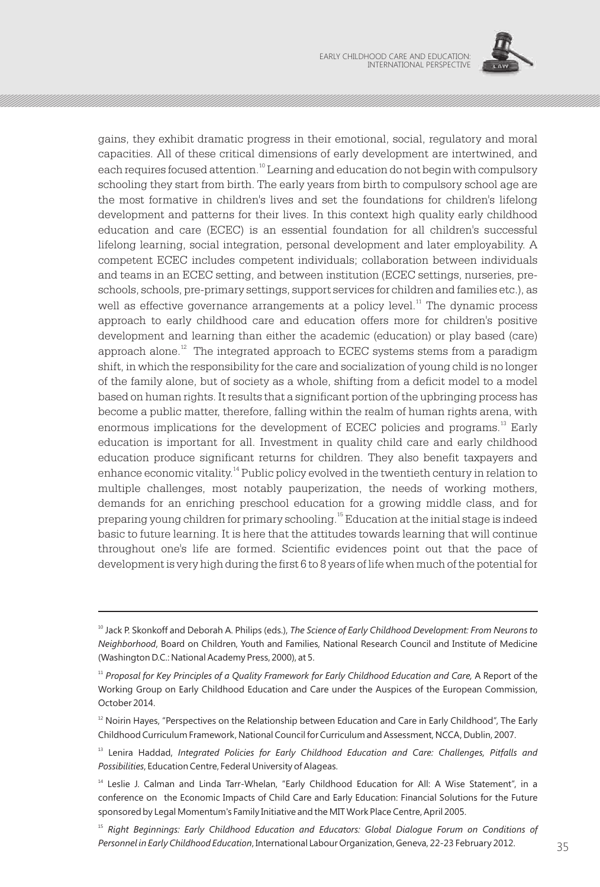

gains, they exhibit dramatic progress in their emotional, social, regulatory and moral capacities. All of these critical dimensions of early development are intertwined, and each requires focused attention.<sup>10</sup> Learning and education do not begin with compulsory schooling they start from birth. The early years from birth to compulsory school age are the most formative in children's lives and set the foundations for children's lifelong development and patterns for their lives. In this context high quality early childhood education and care (ECEC) is an essential foundation for all children's successful lifelong learning, social integration, personal development and later employability. A competent ECEC includes competent individuals; collaboration between individuals and teams in an ECEC setting, and between institution (ECEC settings, nurseries, preschools, schools, pre-primary settings, support services for children and families etc.), as well as effective governance arrangements at a policy level.<sup>11</sup> The dynamic process approach to early childhood care and education offers more for children's positive development and learning than either the academic (education) or play based (care) approach alone.<sup> $12$ </sup> The integrated approach to ECEC systems stems from a paradigm shift, in which the responsibility for the care and socialization of young child is no longer of the family alone, but of society as a whole, shifting from a deficit model to a model based on human rights. It results that a significant portion of the upbringing process has become a public matter, therefore, falling within the realm of human rights arena, with enormous implications for the development of ECEC policies and programs.<sup>13</sup> Early education is important for all. Investment in quality child care and early childhood education produce significant returns for children. They also benefit taxpayers and enhance economic vitality.<sup>14</sup> Public policy evolved in the twentieth century in relation to multiple challenges, most notably pauperization, the needs of working mothers, demands for an enriching preschool education for a growing middle class, and for <sup>15</sup> preparing young children for primary schooling. Education at the initial stage is indeed basic to future learning. It is here that the attitudes towards learning that will continue throughout one's life are formed. Scientific evidences point out that the pace of development is very high during the first 6 to 8 years of life when much of the potential for

<sup>&</sup>lt;sup>10</sup> Jack P. Skonkoff and Deborah A. Philips (eds.), *The Science of Early Childhood Development: From Neurons to Neighborhood*, Board on Children, Youth and Families, National Research Council and Institute of Medicine (Washington D.C.: National Academy Press, 2000), at 5.

<sup>11</sup> *Proposal for Key Principles of a Quality Framework for Early Childhood Education and Care,* A Report of the Working Group on Early Childhood Education and Care under the Auspices of the European Commission, October 2014.

 $12$  Noirin Hayes, "Perspectives on the Relationship between Education and Care in Early Childhood", The Early Childhood Curriculum Framework, National Council for Curriculum and Assessment, NCCA, Dublin, 2007.

<sup>&</sup>lt;sup>13</sup> Lenira Haddad, Integrated Policies for Early Childhood Education and Care: Challenges, Pitfalls and *Possibilities*, Education Centre, Federal University of Alageas.

<sup>&</sup>lt;sup>14</sup> Leslie J. Calman and Linda Tarr-Whelan, "Early Childhood Education for All: A Wise Statement", in a conference on the Economic Impacts of Child Care and Early Education: Financial Solutions for the Future sponsored by Legal Momentum's Family Initiative and the MIT Work Place Centre, April 2005.

<sup>15</sup> *Right Beginnings: Early Childhood Education and Educators: Global Dialogue Forum on Conditions of Personnel in Early Childhood Education*, International Labour Organization, Geneva, 22-23 February 2012. 35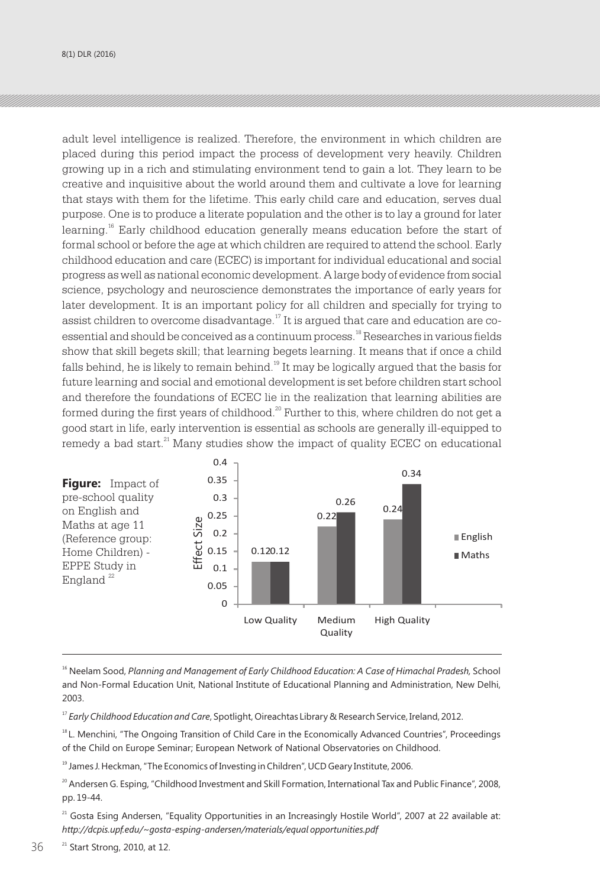adult level intelligence is realized. Therefore, the environment in which children are placed during this period impact the process of development very heavily. Children growing up in a rich and stimulating environment tend to gain a lot. They learn to be creative and inquisitive about the world around them and cultivate a love for learning that stays with them for the lifetime. This early child care and education, serves dual purpose. One is to produce a literate population and the other is to lay a ground for later learning.<sup>16</sup> Early childhood education generally means education before the start of formal school or before the age at which children are required to attend the school. Early childhood education and care (ECEC) is important for individual educational and social progress as well as national economic development. A large body of evidence from social science, psychology and neuroscience demonstrates the importance of early years for later development. It is an important policy for all children and specially for trying to assist children to overcome disadvantage.<sup>17</sup> It is argued that care and education are coessential and should be conceived as a continuum process.<sup>18</sup> Researches in various fields show that skill begets skill; that learning begets learning. It means that if once a child falls behind, he is likely to remain behind. $^{19}$  It may be logically argued that the basis for future learning and social and emotional development is set before children start school and therefore the foundations of ECEC lie in the realization that learning abilities are formed during the first years of childhood. $^{20}$  Further to this, where children do not get a good start in life, early intervention is essential as schools are generally ill-equipped to  $21$ remedy a bad start. $^{21}$  Many studies show the impact of quality ECEC on educational



<sup>16</sup> Neelam Sood, *Planning and Management of Early Childhood Education: A Case of Himachal Pradesh, School* and Non-Formal Education Unit, National Institute of Educational Planning and Administration, New Delhi, 2003.

<sup>17</sup> *Early Childhood Education and Care*, Spotlight, Oireachtas Library & Research Service, Ireland, 2012.

<sup>18</sup>L. Menchini, "The Ongoing Transition of Child Care in the Economically Advanced Countries", Proceedings of the Child on Europe Seminar; European Network of National Observatories on Childhood.

<sup>19</sup> James J. Heckman, "The Economics of Investing in Children", UCD Geary Institute, 2006.

<sup>20</sup> Andersen G. Esping, "Childhood Investment and Skill Formation, International Tax and Public Finance", 2008, pp. 19-44.

<sup>21</sup> Gosta Esing Andersen, "Equality Opportunities in an Increasingly Hostile World", 2007 at 22 available at: *http://dcpis.upf.edu/~gosta-esping-andersen/materials/equal opportunities.pdf*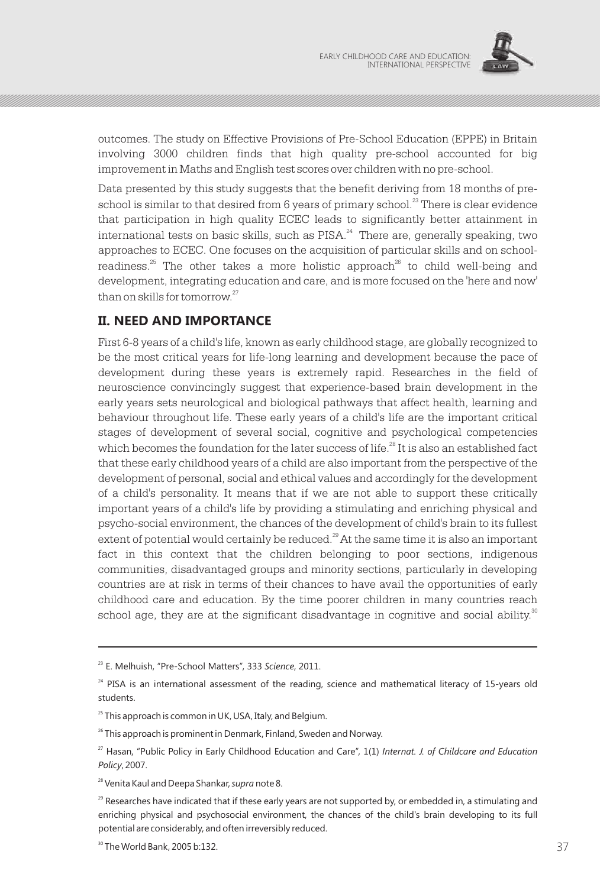

outcomes. The study on Effective Provisions of Pre-School Education (EPPE) in Britain involving 3000 children finds that high quality pre-school accounted for big improvement in Maths and English test scores over children with no pre-school.

Data presented by this study suggests that the benefit deriving from 18 months of preschool is similar to that desired from  $6$  years of primary school.<sup>23</sup> There is clear evidence that participation in high quality ECEC leads to significantly better attainment in international tests on basic skills, such as  $PISA.^{24}$  There are, generally speaking, two approaches to ECEC. One focuses on the acquisition of particular skills and on schoolreadiness.<sup>25</sup> The other takes a more holistic approach<sup>26</sup> to child well-being and development, integrating education and care, and is more focused on the 'here and now' than on skills for tomorrow. $27$ 

## **II. NEED AND IMPORTANCE**

First 6-8 years of a child's life, known as early childhood stage, are globally recognized to be the most critical years for life-long learning and development because the pace of development during these years is extremely rapid. Researches in the field of neuroscience convincingly suggest that experience-based brain development in the early years sets neurological and biological pathways that affect health, learning and behaviour throughout life. These early years of a child's life are the important critical stages of development of several social, cognitive and psychological competencies which becomes the foundation for the later success of life.<sup>28</sup> It is also an established fact that these early childhood years of a child are also important from the perspective of the development of personal, social and ethical values and accordingly for the development of a child's personality. It means that if we are not able to support these critically important years of a child's life by providing a stimulating and enriching physical and psycho-social environment, the chances of the development of child's brain to its fullest extent of potential would certainly be reduced. $29$  At the same time it is also an important fact in this context that the children belonging to poor sections, indigenous communities, disadvantaged groups and minority sections, particularly in developing countries are at risk in terms of their chances to have avail the opportunities of early childhood care and education. By the time poorer children in many countries reach school age, they are at the significant disadvantage in cognitive and social ability. $\degree$ 

<sup>23</sup> E. Melhuish, "Pre-School Matters", 333 *Science*, 2011.

<sup>&</sup>lt;sup>24</sup> PISA is an international assessment of the reading, science and mathematical literacy of 15-years old students.

 $25$  This approach is common in UK, USA, Italy, and Belgium.

 $26$  This approach is prominent in Denmark, Finland, Sweden and Norway.

<sup>27</sup> Hasan, "Public Policy in Early Childhood Education and Care", 1(1) *Internat. J. of Childcare and Education Policy*, 2007.

<sup>28</sup> Venita Kaul and Deepa Shankar, *supra* note 8.

 $29$  Researches have indicated that if these early years are not supported by, or embedded in, a stimulating and enriching physical and psychosocial environment, the chances of the child's brain developing to its full potential are considerably, and often irreversibly reduced.

 $37$  37 The World Bank, 2005 b:132.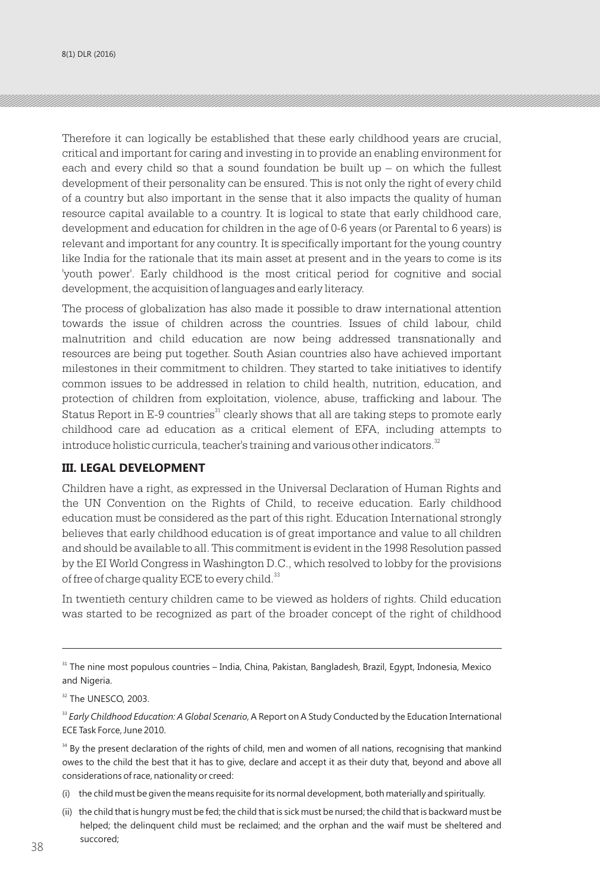Therefore it can logically be established that these early childhood years are crucial, critical and important for caring and investing in to provide an enabling environment for each and every child so that a sound foundation be built up – on which the fullest development of their personality can be ensured. This is not only the right of every child of a country but also important in the sense that it also impacts the quality of human resource capital available to a country. It is logical to state that early childhood care, development and education for children in the age of 0-6 years (or Parental to 6 years) is relevant and important for any country. It is specifically important for the young country like India for the rationale that its main asset at present and in the years to come is its 'youth power'. Early childhood is the most critical period for cognitive and social development, the acquisition of languages and early literacy.

The process of globalization has also made it possible to draw international attention towards the issue of children across the countries. Issues of child labour, child malnutrition and child education are now being addressed transnationally and resources are being put together. South Asian countries also have achieved important milestones in their commitment to children. They started to take initiatives to identify common issues to be addressed in relation to child health, nutrition, education, and protection of children from exploitation, violence, abuse, trafficking and labour. The Status Report in E-9 countries<sup>31</sup> clearly shows that all are taking steps to promote early childhood care ad education as a critical element of EFA, including attempts to introduce holistic curricula, teacher's training and various other indicators.<sup>32</sup>

#### **III. LEGAL DEVELOPMENT**

Children have a right, as expressed in the Universal Declaration of Human Rights and the UN Convention on the Rights of Child, to receive education. Early childhood education must be considered as the part of this right. Education International strongly believes that early childhood education is of great importance and value to all children and should be available to all. This commitment is evident in the 1998 Resolution passed by the EI World Congress in Washington D.C., which resolved to lobby for the provisions of free of charge quality ECE to every child.<sup>33</sup>

In twentieth century children came to be viewed as holders of rights. Child education was started to be recognized as part of the broader concept of the right of childhood

- (i) the child must be given the means requisite for its normal development, both materially and spiritually.
- (ii) the child that is hungry must be fed; the child that is sick must be nursed; the child that is backward must be helped; the delinquent child must be reclaimed; and the orphan and the waif must be sheltered and succored; (video to understanding and love by parents and society; 38  $38$

<sup>&</sup>lt;sup>31</sup> The nine most populous countries – India, China, Pakistan, Bangladesh, Brazil, Egypt, Indonesia, Mexico and Nigeria.

<sup>&</sup>lt;sup>32</sup> The UNESCO, 2003.

<sup>&</sup>lt;sup>33</sup> Early Childhood Education: A Global Scenario, A Report on A Study Conducted by the Education International ECE Task Force, June 2010.

<sup>&</sup>lt;sup>34</sup> By the present declaration of the rights of child, men and women of all nations, recognising that mankind owes to the child the best that it has to give, declare and accept it as their duty that, beyond and above all considerations of race, nationality or creed: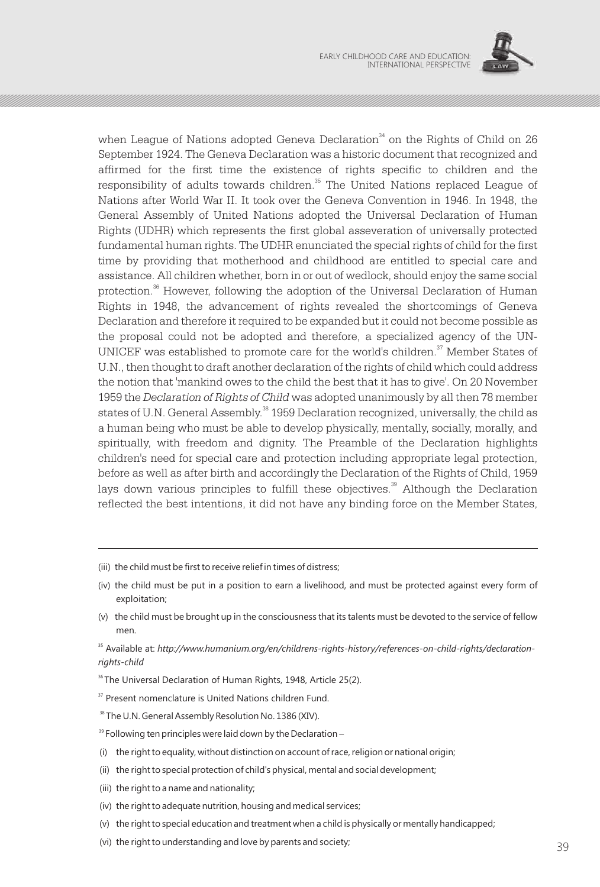

when League of Nations adopted Geneva Declaration $^{34}$  on the Rights of Child on 26 September 1924. The Geneva Declaration was a historic document that recognized and affirmed for the first time the existence of rights specific to children and the responsibility of adults towards children.<sup>35</sup> The United Nations replaced League of Nations after World War II. It took over the Geneva Convention in 1946. In 1948, the General Assembly of United Nations adopted the Universal Declaration of Human Rights (UDHR) which represents the first global asseveration of universally protected fundamental human rights. The UDHR enunciated the special rights of child for the first time by providing that motherhood and childhood are entitled to special care and assistance. All children whether, born in or out of wedlock, should enjoy the same social protection.<sup>36</sup> However, following the adoption of the Universal Declaration of Human Rights in 1948, the advancement of rights revealed the shortcomings of Geneva Declaration and therefore it required to be expanded but it could not become possible as the proposal could not be adopted and therefore, a specialized agency of the UN-UNICEF was established to promote care for the world's children. $\mathfrak{I}$  Member States of U.N., then thought to draft another declaration of the rights of child which could address the notion that 'mankind owes to the child the best that it has to give'. On 20 November 1959 the *Declaration of Rights of Child* was adopted unanimously by all then 78 member states of U.N. General Assembly.<sup>38</sup> 1959 Declaration recognized, universally, the child as a human being who must be able to develop physically, mentally, socially, morally, and spiritually, with freedom and dignity. The Preamble of the Declaration highlights children's need for special care and protection including appropriate legal protection, before as well as after birth and accordingly the Declaration of the Rights of Child, 1959 lays down various principles to fulfill these objectives.<sup>39</sup> Although the Declaration reflected the best intentions, it did not have any binding force on the Member States,

- (iii) the child must be first to receive relief in times of distress;
- (iv) the child must be put in a position to earn a livelihood, and must be protected against every form of exploitation;
- (v) the child must be brought up in the consciousness that its talents must be devoted to the service of fellow men.
- <sup>35</sup> Available at: http://www.humanium.org/en/childrens-rights-history/references-on-child-rights/declaration*rights-child*
- <sup>36</sup> The Universal Declaration of Human Rights, 1948, Article 25(2).
- <sup>37</sup> Present nomenclature is United Nations children Fund.
- <sup>38</sup> The U.N. General Assembly Resolution No. 1386 (XIV).
- <sup>39</sup> Following ten principles were laid down by the Declaration –
- (i) the right to equality, without distinction on account of race, religion or national origin;
- (ii) the right to special protection of child's physical, mental and social development;
- (iii) the right to a name and nationality;
- (iv) the right to adequate nutrition, housing and medical services;
- (v) the right to special education and treatment when a child is physically or mentally handicapped;
- (vi) the right to understanding and love by parents and society;  $39$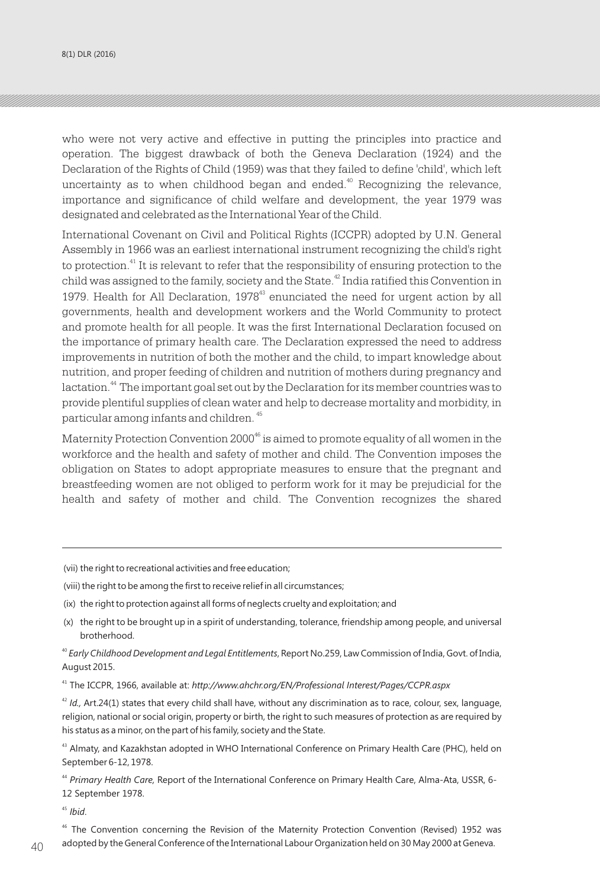8(1) DLR (2016)

who were not very active and effective in putting the principles into practice and operation. The biggest drawback of both the Geneva Declaration (1924) and the Declaration of the Rights of Child (1959) was that they failed to define 'child', which left uncertainty as to when childhood began and ended.<sup>40</sup> Recognizing the relevance, importance and significance of child welfare and development, the year 1979 was designated and celebrated as the International Year of the Child.

International Covenant on Civil and Political Rights (ICCPR) adopted by U.N. General Assembly in 1966 was an earliest international instrument recognizing the child's right to protection. $^{41}$  It is relevant to refer that the responsibility of ensuring protection to the child was assigned to the family, society and the State.  $\rm{^2}$  India ratified this Convention in 1979. Health for All Declaration,  $1978<sup>43</sup>$  enunciated the need for urgent action by all governments, health and development workers and the World Community to protect and promote health for all people. It was the first International Declaration focused on the importance of primary health care. The Declaration expressed the need to address improvements in nutrition of both the mother and the child, to impart knowledge about nutrition, and proper feeding of children and nutrition of mothers during pregnancy and lactation.<sup>44</sup> The important goal set out by the Declaration for its member countries was to provide plentiful supplies of clean water and help to decrease mortality and morbidity, in 45 particular among infants and children.

Maternity Protection Convention 2000<sup>46</sup> is aimed to promote equality of all women in the workforce and the health and safety of mother and child. The Convention imposes the obligation on States to adopt appropriate measures to ensure that the pregnant and breastfeeding women are not obliged to perform work for it may be prejudicial for the health and safety of mother and child. The Convention recognizes the shared

- (vii) the right to recreational activities and free education;
- (viii) the right to be among the first to receive relief in all circumstances;
- (ix) the right to protection against all forms of neglects cruelty and exploitation; and
- (x) the right to be brought up in a spirit of understanding, tolerance, friendship among people, and universal brotherhood.

<sup>40</sup> *Early Childhood Development and Legal Entitlements*, Report No.259, Law Commission of India, Govt. of India, August 2015.

<sup>41</sup> The ICCPR, 1966, available at: *http://www.ahchr.org/EN/Professional Interest/Pages/CCPR.aspx*

<sup>42</sup> *Id.,* Art.24(1) states that every child shall have, without any discrimination as to race, colour, sex, language, religion, national or social origin, property or birth, the right to such measures of protection as are required by his status as a minor, on the part of his family, society and the State.

<sup>43</sup> Almaty, and Kazakhstan adopted in WHO International Conference on Primary Health Care (PHC), held on September 6-12, 1978.

<sup>44</sup> *Primary Health Care,* Report of the International Conference on Primary Health Care, Alma-Ata, USSR, 6- 12 September 1978.

<sup>45</sup> *Ibid*.

<sup>46</sup> The Convention concerning the Revision of the Maternity Protection Convention (Revised) 1952 was  $\rm 40-$  adopted by the General Conference of the International Labour Organization held on 30 May 2000 at Geneva.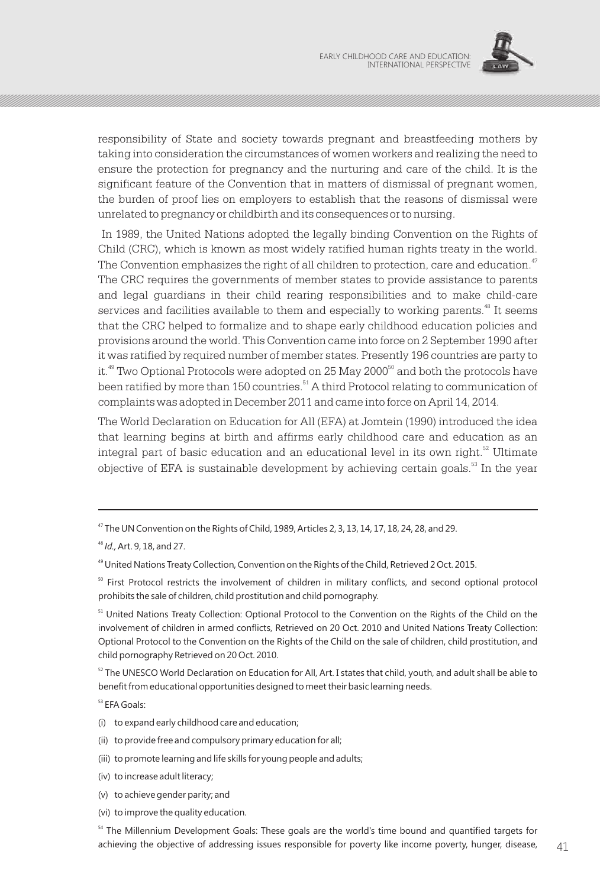

responsibility of State and society towards pregnant and breastfeeding mothers by taking into consideration the circumstances of women workers and realizing the need to ensure the protection for pregnancy and the nurturing and care of the child. It is the significant feature of the Convention that in matters of dismissal of pregnant women, the burden of proof lies on employers to establish that the reasons of dismissal were unrelated to pregnancy or childbirth and its consequences or to nursing.

In 1989, the United Nations adopted the legally binding Convention on the Rights of Child (CRC), which is known as most widely ratified human rights treaty in the world. The Convention emphasizes the right of all children to protection, care and education.<sup>47</sup> The CRC requires the governments of member states to provide assistance to parents and legal guardians in their child rearing responsibilities and to make child-care services and facilities available to them and especially to working parents.<sup>48</sup> It seems that the CRC helped to formalize and to shape early childhood education policies and provisions around the world. This Convention came into force on 2 September 1990 after it was ratified by required number of member states. Presently 196 countries are party to it.<sup>49</sup> Two Optional Protocols were adopted on 25 May 2000<sup>50</sup> and both the protocols have been ratified by more than 150 countries.<sup>51</sup> A third Protocol relating to communication of complaints was adopted in December 2011 and came into force on April 14, 2014.

The World Declaration on Education for All (EFA) at Jomtein (1990) introduced the idea that learning begins at birth and affirms early childhood care and education as an integral part of basic education and an educational level in its own right. $52$  Ultimate objective of EFA is sustainable development by achieving certain goals.<sup>53</sup> In the year

 $52$  The UNESCO World Declaration on Education for All, Art. I states that child, youth, and adult shall be able to benefit from educational opportunities designed to meet their basic learning needs.

<sup>53</sup> EFA Goals:

- (i) to expand early childhood care and education;
- (ii) to provide free and compulsory primary education for all;
- (iii) to promote learning and life skills for young people and adults;
- (iv) to increase adult literacy;
- (v) to achieve gender parity; and
- (vi) to improve the quality education.

<sup>47</sup> The UN Convention on the Rights of Child, 1989, Articles 2, 3, 13, 14, 17, 18, 24, 28, and 29.

<sup>48</sup> *Id.,* Art. 9, 18, and 27.

<sup>&</sup>lt;sup>49</sup> United Nations Treaty Collection, Convention on the Rights of the Child, Retrieved 2 Oct. 2015.

<sup>&</sup>lt;sup>50</sup> First Protocol restricts the involvement of children in military conflicts, and second optional protocol prohibits the sale of children, child prostitution and child pornography.

<sup>51</sup> United Nations Treaty Collection: Optional Protocol to the Convention on the Rights of the Child on the involvement of children in armed conflicts, Retrieved on 20 Oct. 2010 and United Nations Treaty Collection: Optional Protocol to the Convention on the Rights of the Child on the sale of children, child prostitution, and child pornography Retrieved on 20 Oct. 2010.

<sup>&</sup>lt;sup>54</sup> The Millennium Development Goals: These goals are the world's time bound and quantified targets for achieving the objective of addressing issues responsible for poverty like income poverty, hunger, disease,  $41$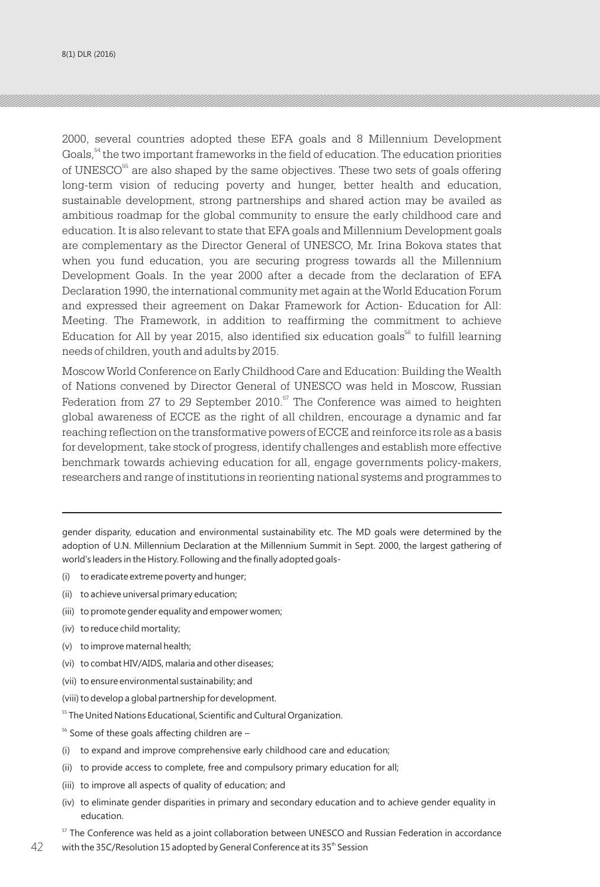2000, several countries adopted these EFA goals and 8 Millennium Development Goals,  $54$  the two important frameworks in the field of education. The education priorities of UNESCO<sup>55</sup> are also shaped by the same objectives. These two sets of goals offering long-term vision of reducing poverty and hunger, better health and education, sustainable development, strong partnerships and shared action may be availed as ambitious roadmap for the global community to ensure the early childhood care and education. It is also relevant to state that EFA goals and Millennium Development goals are complementary as the Director General of UNESCO, Mr. Irina Bokova states that when you fund education, you are securing progress towards all the Millennium Development Goals. In the year 2000 after a decade from the declaration of EFA Declaration 1990, the international community met again at the World Education Forum and expressed their agreement on Dakar Framework for Action- Education for All: Meeting. The Framework, in addition to reaffirming the commitment to achieve  $E$ ducation for All by year 2015, also identified six education goals<sup>56</sup> to fulfill learning needs of children, youth and adults by 2015.

Moscow World Conference on Early Childhood Care and Education: Building the Wealth of Nations convened by Director General of UNESCO was held in Moscow, Russian Federation from 27 to 29 September 2010. $57$  The Conference was aimed to heighten global awareness of ECCE as the right of all children, encourage a dynamic and far reaching reflection on the transformative powers of ECCE and reinforce its role as a basis for development, take stock of progress, identify challenges and establish more effective benchmark towards achieving education for all, engage governments policy-makers, researchers and range of institutions in reorienting national systems and programmes to

gender disparity, education and environmental sustainability etc. The MD goals were determined by the adoption of U.N. Millennium Declaration at the Millennium Summit in Sept. 2000, the largest gathering of world's leaders in the History. Following and the finally adopted goals-

- (i) to eradicate extreme poverty and hunger;
- (ii) to achieve universal primary education;
- (iii) to promote gender equality and empower women;
- (iv) to reduce child mortality;
- (v) to improve maternal health;
- (vi) to combat HIV/AIDS, malaria and other diseases;
- (vii) to ensure environmental sustainability; and
- (viii) to develop a global partnership for development.
- <sup>55</sup> The United Nations Educational, Scientific and Cultural Organization.
- $56$  Some of these goals affecting children are -
- (i) to expand and improve comprehensive early childhood care and education;
- (ii) to provide access to complete, free and compulsory primary education for all;
- (iii) to improve all aspects of quality of education; and
- (iv) to eliminate gender disparities in primary and secondary education and to achieve gender equality in education.
- $57$  The Conference was held as a joint collaboration between UNESCO and Russian Federation in accordance 42 with the 35C/Resolution 15 adopted by General Conference at its 35  $^{\text{\tiny{\textup{in}}}}$  Session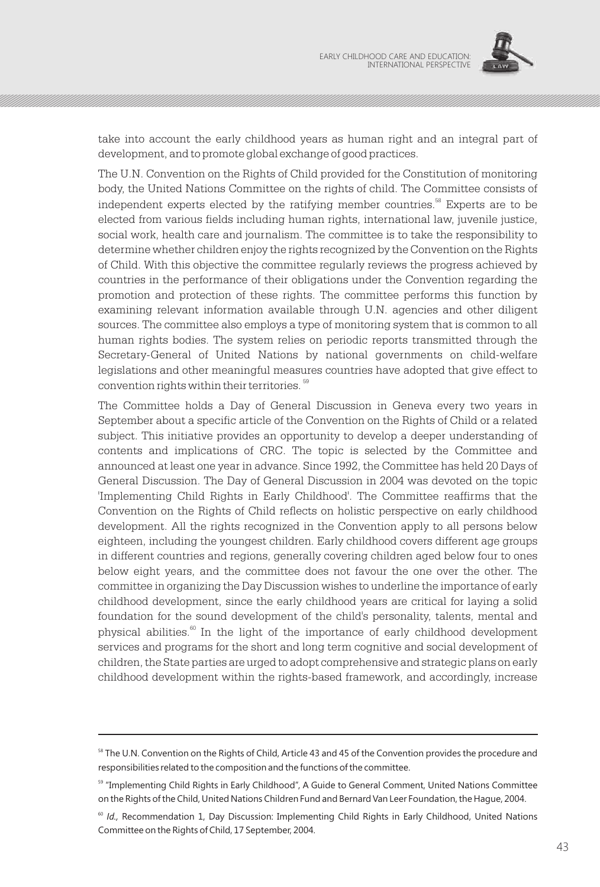

take into account the early childhood years as human right and an integral part of development, and to promote global exchange of good practices.

The U.N. Convention on the Rights of Child provided for the Constitution of monitoring body, the United Nations Committee on the rights of child. The Committee consists of independent experts elected by the ratifying member countries.<sup>58</sup> Experts are to be elected from various fields including human rights, international law, juvenile justice, social work, health care and journalism. The committee is to take the responsibility to determine whether children enjoy the rights recognized by the Convention on the Rights of Child. With this objective the committee regularly reviews the progress achieved by countries in the performance of their obligations under the Convention regarding the promotion and protection of these rights. The committee performs this function by examining relevant information available through U.N. agencies and other diligent sources. The committee also employs a type of monitoring system that is common to all human rights bodies. The system relies on periodic reports transmitted through the Secretary-General of United Nations by national governments on child-welfare legislations and other meaningful measures countries have adopted that give effect to convention rights within their territories.<sup>59</sup>

The Committee holds a Day of General Discussion in Geneva every two years in September about a specific article of the Convention on the Rights of Child or a related subject. This initiative provides an opportunity to develop a deeper understanding of contents and implications of CRC. The topic is selected by the Committee and announced at least one year in advance. Since 1992, the Committee has held 20 Days of General Discussion. The Day of General Discussion in 2004 was devoted on the topic 'Implementing Child Rights in Early Childhood'. The Committee reaffirms that the Convention on the Rights of Child reflects on holistic perspective on early childhood development. All the rights recognized in the Convention apply to all persons below eighteen, including the youngest children. Early childhood covers different age groups in different countries and regions, generally covering children aged below four to ones below eight years, and the committee does not favour the one over the other. The committee in organizing the Day Discussion wishes to underline the importance of early childhood development, since the early childhood years are critical for laying a solid foundation for the sound development of the child's personality, talents, mental and physical abilities. $\mathbb{S}^6$  In the light of the importance of early childhood development services and programs for the short and long term cognitive and social development of children, the State parties are urged to adopt comprehensive and strategic plans on early childhood development within the rights-based framework, and accordingly, increase

<sup>&</sup>lt;sup>58</sup> The U.N. Convention on the Rights of Child, Article 43 and 45 of the Convention provides the procedure and responsibilities related to the composition and the functions of the committee.

<sup>59</sup> "Implementing Child Rights in Early Childhood", A Guide to General Comment, United Nations Committee on the Rights of the Child, United Nations Children Fund and Bernard Van Leer Foundation, the Hague, 2004.

<sup>&</sup>lt;sup>60</sup> Id., Recommendation 1, Day Discussion: Implementing Child Rights in Early Childhood, United Nations Committee on the Rights of Child, 17 September, 2004.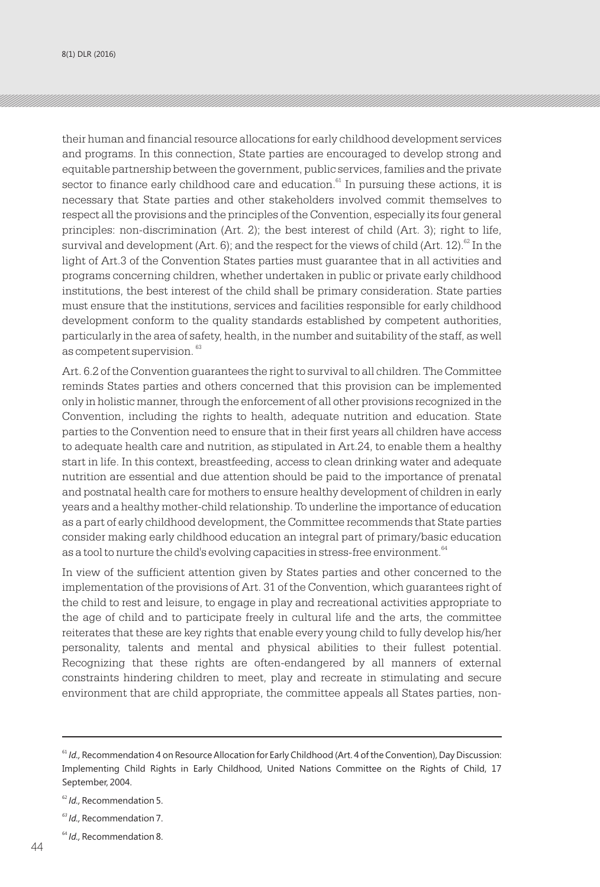8(1) DLR (2016)

their human and financial resource allocations for early childhood development services and programs. In this connection, State parties are encouraged to develop strong and equitable partnership between the government, public services, families and the private  $\frac{1}{6}$  sector to finance early childhood care and education.  $\frac{1}{6}$  In pursuing these actions, it is necessary that State parties and other stakeholders involved commit themselves to respect all the provisions and the principles of the Convention, especially its four general principles: non-discrimination (Art. 2); the best interest of child (Art. 3); right to life, survival and development (Art. 6); and the respect for the views of child (Art. 12). $^{\mathrm{62}}$  In the light of Art.3 of the Convention States parties must guarantee that in all activities and programs concerning children, whether undertaken in public or private early childhood institutions, the best interest of the child shall be primary consideration. State parties must ensure that the institutions, services and facilities responsible for early childhood development conform to the quality standards established by competent authorities, particularly in the area of safety, health, in the number and suitability of the staff, as well as competent supervision.<sup>63</sup>

Art. 6.2 of the Convention guarantees the right to survival to all children. The Committee reminds States parties and others concerned that this provision can be implemented only in holistic manner, through the enforcement of all other provisions recognized in the Convention, including the rights to health, adequate nutrition and education. State parties to the Convention need to ensure that in their first years all children have access to adequate health care and nutrition, as stipulated in Art.24, to enable them a healthy start in life. In this context, breastfeeding, access to clean drinking water and adequate nutrition are essential and due attention should be paid to the importance of prenatal and postnatal health care for mothers to ensure healthy development of children in early years and a healthy mother-child relationship. To underline the importance of education as a part of early childhood development, the Committee recommends that State parties consider making early childhood education an integral part of primary/basic education as a tool to nurture the child's evolving capacities in stress-free environment.  $^{\rm 64}$ 

In view of the sufficient attention given by States parties and other concerned to the implementation of the provisions of Art. 31 of the Convention, which guarantees right of the child to rest and leisure, to engage in play and recreational activities appropriate to the age of child and to participate freely in cultural life and the arts, the committee reiterates that these are key rights that enable every young child to fully develop his/her personality, talents and mental and physical abilities to their fullest potential. Recognizing that these rights are often-endangered by all manners of external constraints hindering children to meet, play and recreate in stimulating and secure environment that are child appropriate, the committee appeals all States parties, non-

<sup>61</sup> *Id.,* Recommendation 4 on Resource Allocation for Early Childhood (Art. 4 of the Convention), Day Discussion: Implementing Child Rights in Early Childhood, United Nations Committee on the Rights of Child, 17 September, 2004.

<sup>62</sup> *Id.,* Recommendation 5.

*<sup>63</sup> Id.,* Recommendation 7.

<sup>64</sup> *Id.,* Recommendation 8.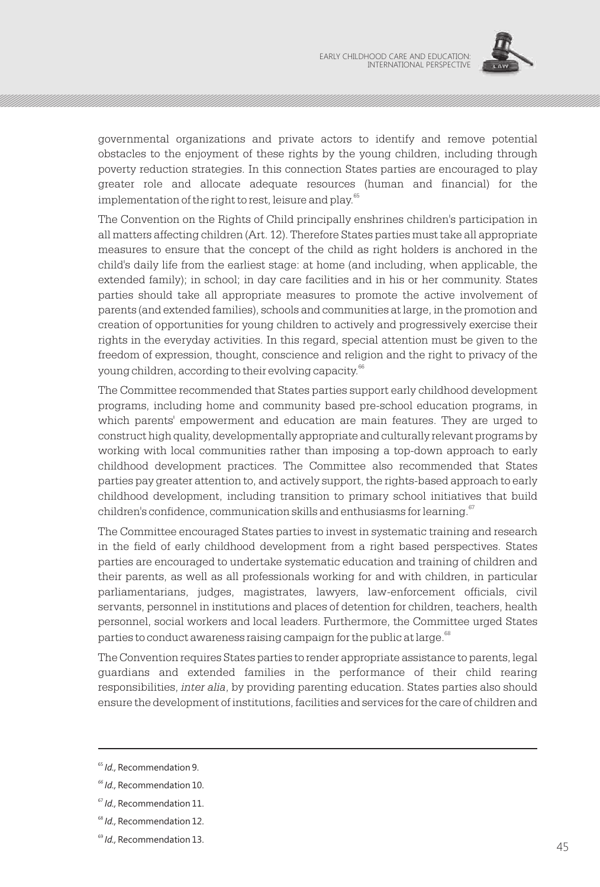

governmental organizations and private actors to identify and remove potential obstacles to the enjoyment of these rights by the young children, including through poverty reduction strategies. In this connection States parties are encouraged to play greater role and allocate adequate resources (human and financial) for the implementation of the right to rest, leisure and play.<sup>65</sup>

The Convention on the Rights of Child principally enshrines children's participation in all matters affecting children (Art. 12). Therefore States parties must take all appropriate measures to ensure that the concept of the child as right holders is anchored in the child's daily life from the earliest stage: at home (and including, when applicable, the extended family); in school; in day care facilities and in his or her community. States parties should take all appropriate measures to promote the active involvement of parents (and extended families), schools and communities at large, in the promotion and creation of opportunities for young children to actively and progressively exercise their rights in the everyday activities. In this regard, special attention must be given to the freedom of expression, thought, conscience and religion and the right to privacy of the young children, according to their evolving capacity.<sup>66</sup>

The Committee recommended that States parties support early childhood development programs, including home and community based pre-school education programs, in which parents' empowerment and education are main features. They are urged to construct high quality, developmentally appropriate and culturally relevant programs by working with local communities rather than imposing a top-down approach to early childhood development practices. The Committee also recommended that States parties pay greater attention to, and actively support, the rights-based approach to early childhood development, including transition to primary school initiatives that build children's confidence, communication skills and enthusiasms for learning.<sup>67</sup>

The Committee encouraged States parties to invest in systematic training and research in the field of early childhood development from a right based perspectives. States parties are encouraged to undertake systematic education and training of children and their parents, as well as all professionals working for and with children, in particular parliamentarians, judges, magistrates, lawyers, law-enforcement officials, civil servants, personnel in institutions and places of detention for children, teachers, health personnel, social workers and local leaders. Furthermore, the Committee urged States parties to conduct awareness raising campaign for the public at large.  $^\mathrm{68}$ 

The Convention requires States parties to render appropriate assistance to parents, legal guardians and extended families in the performance of their child rearing responsibilities, *inter alia*, by providing parenting education. States parties also should ensure the development of institutions, facilities and services for the care of children and

<sup>&</sup>lt;sup>65</sup> *Id.*, Recommendation 9.

*<sup>66</sup> Id.,* Recommendation 10.

<sup>67</sup> *Id.,* Recommendation 11.

<sup>68</sup> *Id.,* Recommendation 12.

<sup>69</sup> *Id.,* Recommendation 13.  $\frac{1}{45}$  45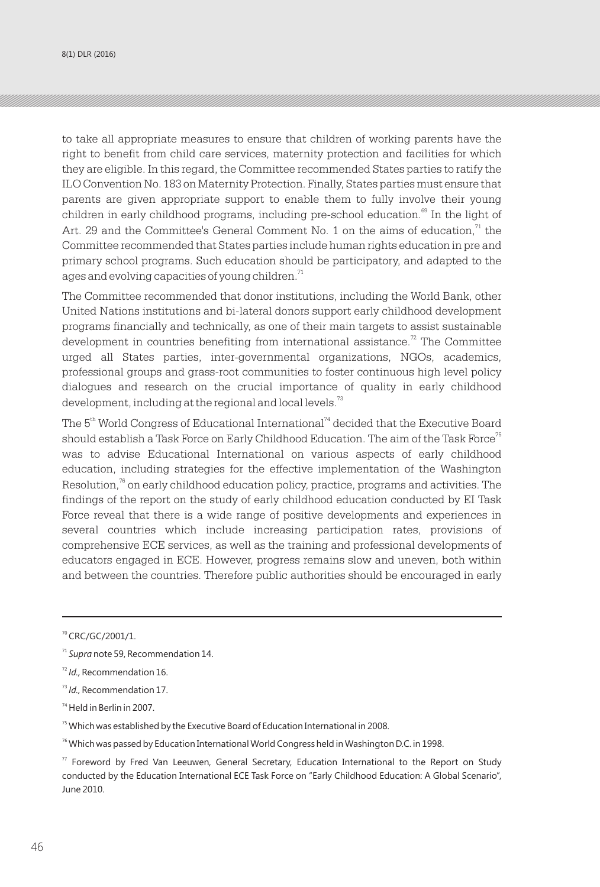8(1) DLR (2016)

to take all appropriate measures to ensure that children of working parents have the right to benefit from child care services, maternity protection and facilities for which they are eligible. In this regard, the Committee recommended States parties to ratify the ILO Convention No. 183 on Maternity Protection. Finally, States parties must ensure that parents are given appropriate support to enable them to fully involve their young children in early childhood programs, including pre-school education.<sup><sup>69</sup> In the light of</sup> Art. 29 and the Committee's General Comment No. 1 on the aims of education, $1$ <sup>1</sup> the Committee recommended that States parties include human rights education in pre and primary school programs. Such education should be participatory, and adapted to the ages and evolving capacities of young children. $^{\text{71}}$ 

The Committee recommended that donor institutions, including the World Bank, other United Nations institutions and bi-lateral donors support early childhood development programs financially and technically, as one of their main targets to assist sustainable development in countries benefiting from international assistance.<sup> $2$ </sup> The Committee urged all States parties, inter-governmental organizations, NGOs, academics, professional groups and grass-root communities to foster continuous high level policy dialogues and research on the crucial importance of quality in early childhood development, including at the regional and local levels.<sup>73</sup>

The  $5<sup>th</sup>$  World Congress of Educational International<sup>74</sup> decided that the Executive Board should establish a Task Force on Early Childhood Education. The aim of the Task Force<sup>75</sup> was to advise Educational International on various aspects of early childhood education, including strategies for the effective implementation of the Washington Resolution,  $^{76}$  on early childhood education policy, practice, programs and activities. The findings of the report on the study of early childhood education conducted by EI Task Force reveal that there is a wide range of positive developments and experiences in several countries which include increasing participation rates, provisions of comprehensive ECE services, as well as the training and professional developments of educators engaged in ECE. However, progress remains slow and uneven, both within and between the countries. Therefore public authorities should be encouraged in early

<sup>70</sup> CRC/GC/2001/1.

<sup>71</sup> *Supra* note 59, Recommendation 14.

<sup>72</sup> *Id.,* Recommendation 16.

<sup>73</sup> *Id.,* Recommendation 17.

<sup>74</sup> Held in Berlin in 2007.

 $75$  Which was established by the Executive Board of Education International in 2008.

<sup>&</sup>lt;sup>76</sup> Which was passed by Education International World Congress held in Washington D.C. in 1998.

 $77$  Foreword by Fred Van Leeuwen, General Secretary, Education International to the Report on Study conducted by the Education International ECE Task Force on "Early Childhood Education: A Global Scenario", June 2010.